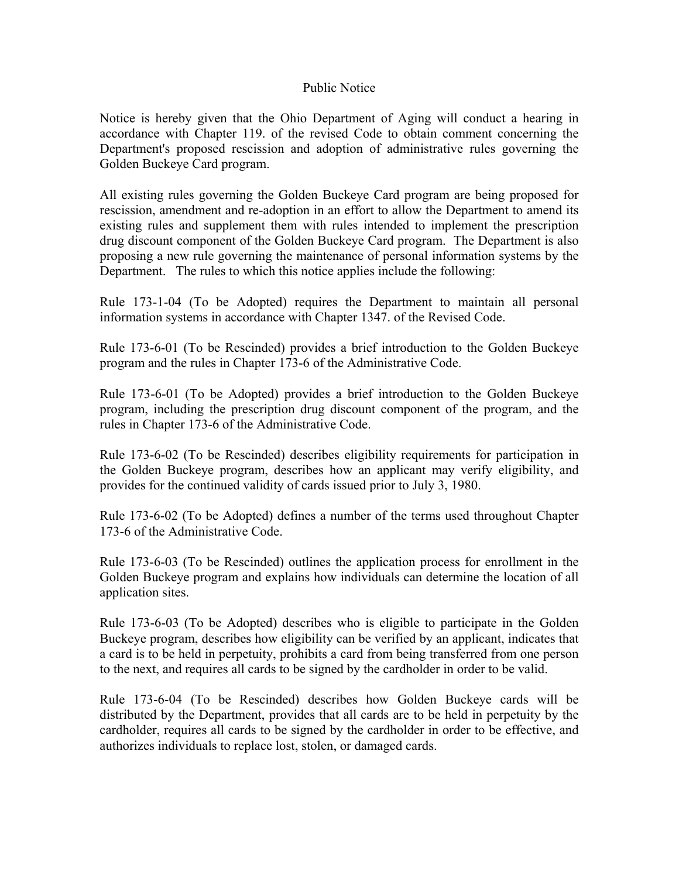## Public Notice

Notice is hereby given that the Ohio Department of Aging will conduct a hearing in accordance with Chapter 119. of the revised Code to obtain comment concerning the Department's proposed rescission and adoption of administrative rules governing the Golden Buckeye Card program.

All existing rules governing the Golden Buckeye Card program are being proposed for rescission, amendment and re-adoption in an effort to allow the Department to amend its existing rules and supplement them with rules intended to implement the prescription drug discount component of the Golden Buckeye Card program. The Department is also proposing a new rule governing the maintenance of personal information systems by the Department. The rules to which this notice applies include the following:

Rule 173-1-04 (To be Adopted) requires the Department to maintain all personal information systems in accordance with Chapter 1347. of the Revised Code.

Rule 173-6-01 (To be Rescinded) provides a brief introduction to the Golden Buckeye program and the rules in Chapter 173-6 of the Administrative Code.

Rule 173-6-01 (To be Adopted) provides a brief introduction to the Golden Buckeye program, including the prescription drug discount component of the program, and the rules in Chapter 173-6 of the Administrative Code.

Rule 173-6-02 (To be Rescinded) describes eligibility requirements for participation in the Golden Buckeye program, describes how an applicant may verify eligibility, and provides for the continued validity of cards issued prior to July 3, 1980.

Rule 173-6-02 (To be Adopted) defines a number of the terms used throughout Chapter 173-6 of the Administrative Code.

Rule 173-6-03 (To be Rescinded) outlines the application process for enrollment in the Golden Buckeye program and explains how individuals can determine the location of all application sites.

Rule 173-6-03 (To be Adopted) describes who is eligible to participate in the Golden Buckeye program, describes how eligibility can be verified by an applicant, indicates that a card is to be held in perpetuity, prohibits a card from being transferred from one person to the next, and requires all cards to be signed by the cardholder in order to be valid.

Rule 173-6-04 (To be Rescinded) describes how Golden Buckeye cards will be distributed by the Department, provides that all cards are to be held in perpetuity by the cardholder, requires all cards to be signed by the cardholder in order to be effective, and authorizes individuals to replace lost, stolen, or damaged cards.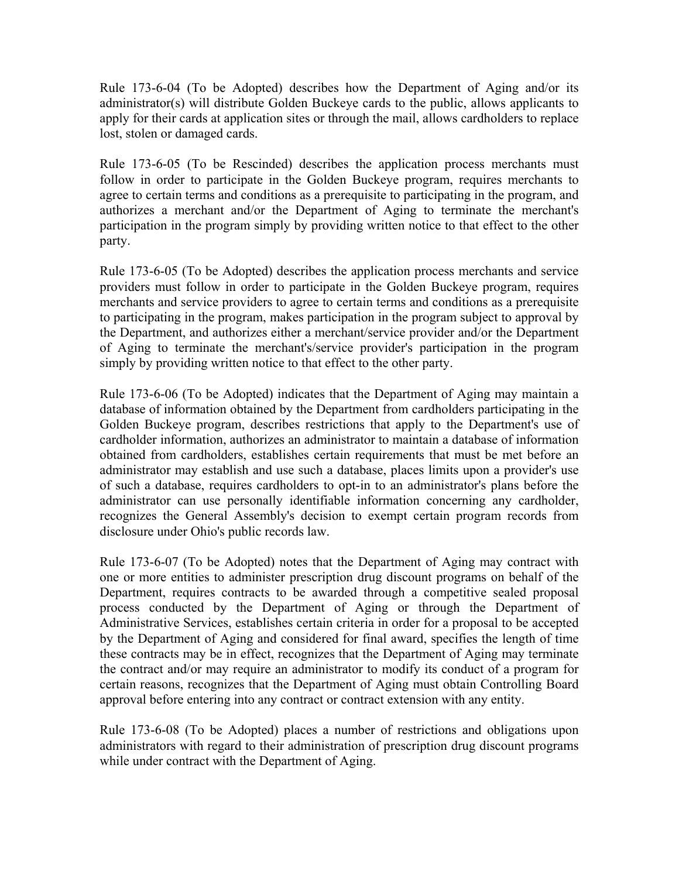Rule 173-6-04 (To be Adopted) describes how the Department of Aging and/or its administrator(s) will distribute Golden Buckeye cards to the public, allows applicants to apply for their cards at application sites or through the mail, allows cardholders to replace lost, stolen or damaged cards.

Rule 173-6-05 (To be Rescinded) describes the application process merchants must follow in order to participate in the Golden Buckeye program, requires merchants to agree to certain terms and conditions as a prerequisite to participating in the program, and authorizes a merchant and/or the Department of Aging to terminate the merchant's participation in the program simply by providing written notice to that effect to the other party.

Rule 173-6-05 (To be Adopted) describes the application process merchants and service providers must follow in order to participate in the Golden Buckeye program, requires merchants and service providers to agree to certain terms and conditions as a prerequisite to participating in the program, makes participation in the program subject to approval by the Department, and authorizes either a merchant/service provider and/or the Department of Aging to terminate the merchant's/service provider's participation in the program simply by providing written notice to that effect to the other party.

Rule 173-6-06 (To be Adopted) indicates that the Department of Aging may maintain a database of information obtained by the Department from cardholders participating in the Golden Buckeye program, describes restrictions that apply to the Department's use of cardholder information, authorizes an administrator to maintain a database of information obtained from cardholders, establishes certain requirements that must be met before an administrator may establish and use such a database, places limits upon a provider's use of such a database, requires cardholders to opt-in to an administrator's plans before the administrator can use personally identifiable information concerning any cardholder, recognizes the General Assembly's decision to exempt certain program records from disclosure under Ohio's public records law.

Rule 173-6-07 (To be Adopted) notes that the Department of Aging may contract with one or more entities to administer prescription drug discount programs on behalf of the Department, requires contracts to be awarded through a competitive sealed proposal process conducted by the Department of Aging or through the Department of Administrative Services, establishes certain criteria in order for a proposal to be accepted by the Department of Aging and considered for final award, specifies the length of time these contracts may be in effect, recognizes that the Department of Aging may terminate the contract and/or may require an administrator to modify its conduct of a program for certain reasons, recognizes that the Department of Aging must obtain Controlling Board approval before entering into any contract or contract extension with any entity.

Rule 173-6-08 (To be Adopted) places a number of restrictions and obligations upon administrators with regard to their administration of prescription drug discount programs while under contract with the Department of Aging.